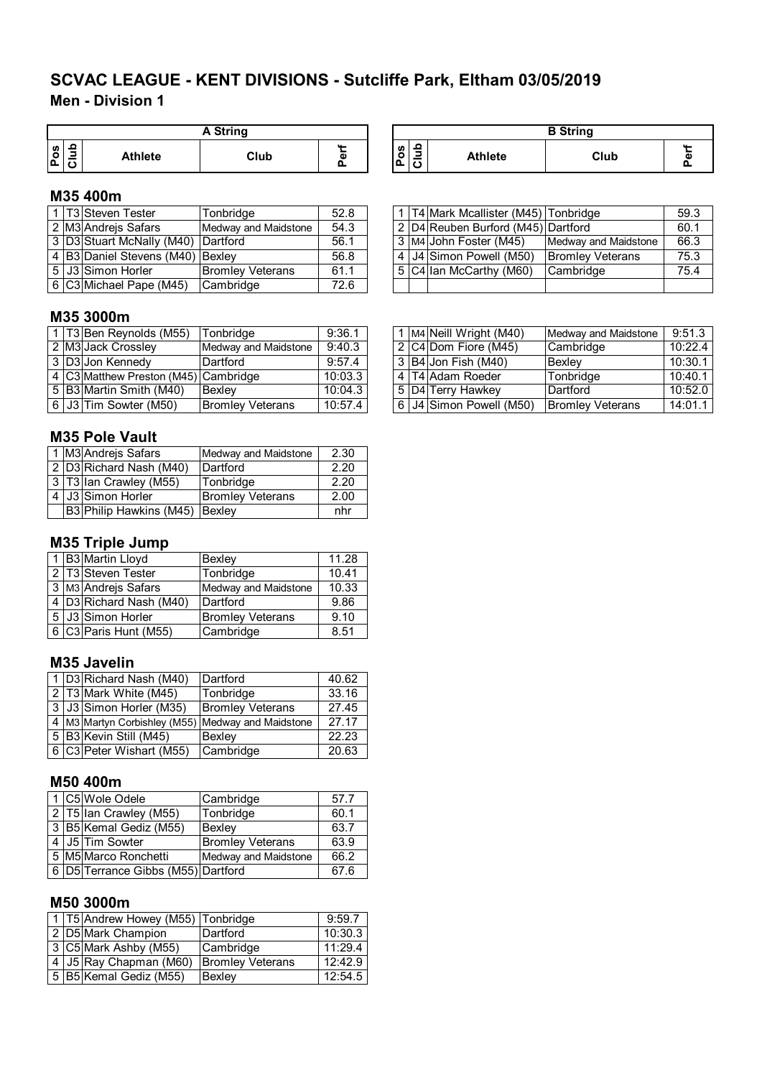**Men - Division 1**

|    |   |                | A String |               |
|----|---|----------------|----------|---------------|
| ျီ | 읔 | <b>Athlete</b> | Club     | ш.<br>Φ<br>o. |

## **M35 400m**

|  | 1 T3 Steven Tester                 | Tonbridge               | 52.8 |  | 1   T4   Mark Mcallister (M45)   Tonbridge |                         | 59.3 |
|--|------------------------------------|-------------------------|------|--|--------------------------------------------|-------------------------|------|
|  | 2 M3 Andrejs Safars                | Medway and Maidstone    | 54.3 |  | 2 D4 Reuben Burford (M45) Dartford         |                         | 60.1 |
|  | 3 D3 Stuart McNally (M40) Dartford |                         | 56.1 |  | 3 M4 John Foster (M45)                     | Medway and Maidstone    | 66.3 |
|  | 4 B3 Daniel Stevens (M40) Bexley   |                         | 56.8 |  | 4 J4 Simon Powell (M50)                    | <b>Bromley Veterans</b> | 75.3 |
|  | 5 J3 Simon Horler                  | <b>Bromley Veterans</b> | 61.1 |  | $5 C4 $ lan McCarthy (M60)                 | Cambridge               | 75.4 |
|  | 6 C3 Michael Pape (M45)            | Cambridge               | 72.6 |  |                                            |                         |      |

| <b>A String</b> |   |                                 |                | <b>B</b> String |  |
|-----------------|---|---------------------------------|----------------|-----------------|--|
| Club            | œ | 읔<br>ഗ<br>$\circ$<br>-<br>ք<br> | <b>Athlete</b> | Club            |  |

|  | 1 T4 Mark Mcallister (M45) Tonbridge     |                         | 59.3 |
|--|------------------------------------------|-------------------------|------|
|  | 2   D4   Reuben Burford (M45)   Dartford |                         | 60.1 |
|  | 3 M4 John Foster (M45)                   | Medway and Maidstone    | 66.3 |
|  | 4 J4 Simon Powell (M50)                  | <b>Bromley Veterans</b> | 75.3 |
|  | 5 C4 Ian McCarthy (M60)                  | Cambridge               | 75.4 |
|  |                                          |                         |      |

## **M35 3000m**

|  | 1 T3 Ben Reynolds (M55)              | Tonbridge               | 9:36.1  |  | 1 M4 Neill Wright (M40) | Medway and Maidstone    | 9:51.3  |
|--|--------------------------------------|-------------------------|---------|--|-------------------------|-------------------------|---------|
|  | 2 M3 Jack Crossley                   | Medway and Maidstone    | 9:40.3  |  | 2 C4 Dom Fiore (M45)    | <b>Cambridge</b>        | 10:22.4 |
|  | 3 D3 Jon Kennedy                     | Dartford                | 9:57.4  |  | 3 B4 Jon Fish (M40)     | Bexlev                  | 10:30.1 |
|  | 4 C3 Matthew Preston (M45) Cambridge |                         | 10:03.3 |  | l 4 IT4 Adam Roeder     | Tonbridge               | 10:40.1 |
|  | l 5 IB3IMartin Smith (M40)           | <b>Bexley</b>           | 10:04.3 |  | ⊧5 ID4ITerrv Hawkev     | Dartford                | 10:52.0 |
|  | 6 J3 Tim Sowter (M50)                | <b>Bromley Veterans</b> | 10:57.4 |  | 6 J4 Simon Powell (M50) | <b>Bromley Veterans</b> | 14:01.1 |

## **M35 Pole Vault**

|  | 1 M3 Andrejs Safars            | Medway and Maidstone    | 2.30 |
|--|--------------------------------|-------------------------|------|
|  | 2 D3 Richard Nash (M40)        | Dartford                | 2.20 |
|  | 3 T3 Ian Crawley (M55)         | Tonbridge               | 2.20 |
|  | 4 J3 Simon Horler              | <b>Bromley Veterans</b> | 2.00 |
|  | B3 Philip Hawkins (M45) Bexley |                         | nhr  |

## **M35 Triple Jump**

|  | 1 B3 Martin Lloyd       | Bexley                  | 11.28 |
|--|-------------------------|-------------------------|-------|
|  | 2 T3 Steven Tester      | Tonbridge               | 10.41 |
|  | 3 M3 Andrejs Safars     | Medway and Maidstone    | 10.33 |
|  | 4 D3 Richard Nash (M40) | Dartford                | 9.86  |
|  | 5 J3 Simon Horler       | <b>Bromley Veterans</b> | 9.10  |
|  | 6 C3 Paris Hunt (M55)   | Cambridge               | 8.51  |

## **M35 Javelin**

|  | 1 D3 Richard Nash (M40)                           | Dartford                | 40.62 |
|--|---------------------------------------------------|-------------------------|-------|
|  | 2 T3 Mark White (M45)                             | Tonbridge               | 33.16 |
|  | 3 J3 Simon Horler (M35)                           | <b>Bromley Veterans</b> | 27.45 |
|  | 4 M3 Martyn Corbishley (M55) Medway and Maidstone |                         | 27.17 |
|  | 5 B3 Kevin Still (M45)                            | Bexley                  | 22.23 |
|  | 6 C3 Peter Wishart (M55)                          | Cambridge               | 20.63 |

#### **M50 400m**

|  | 1 C5 Wole Odele                          | Cambridge               | 57.7 |
|--|------------------------------------------|-------------------------|------|
|  | 2   T5   Ian Crawley (M55)               | Tonbridge               | 60.1 |
|  | 3 B5 Kemal Gediz (M55)                   | Bexley                  | 63.7 |
|  | 4 J5 Tim Sowter                          | <b>Bromley Veterans</b> | 63.9 |
|  | 5 M5 Marco Ronchetti                     | Medway and Maidstone    | 66.2 |
|  | 6   D5   Terrance Gibbs (M55)   Dartford |                         | 67 6 |

#### **M50 3000m**

|  | 1   T5   Andrew Howey (M55)   Tonbridge |                         | 9:59.7  |
|--|-----------------------------------------|-------------------------|---------|
|  | 2 D5 Mark Champion                      | Dartford                | 10:30.3 |
|  | 3 C5 Mark Ashby (M55)                   | Cambridge               | 11:29.4 |
|  | 4 J5 Ray Chapman (M60)                  | <b>Bromley Veterans</b> | 12:42.9 |
|  | 5 B5 Kemal Gediz (M55)                  | Bexley                  | 12:54.5 |

|  | 1 M4 Neill Wright (M40) | Medway and Maidstone    | 9:51.3  |
|--|-------------------------|-------------------------|---------|
|  | 2 C4 Dom Fiore (M45)    | Cambridge               | 10:22.4 |
|  | 3 B4 Jon Fish (M40)     | <b>Bexley</b>           | 10:30.1 |
|  | 4 T4 Adam Roeder        | Tonbridge               | 10:40.1 |
|  | 5 D4 Terry Hawkey       | Dartford                | 10:52.0 |
|  | 6 J4 Simon Powell (M50) | <b>Bromley Veterans</b> | 14:01.1 |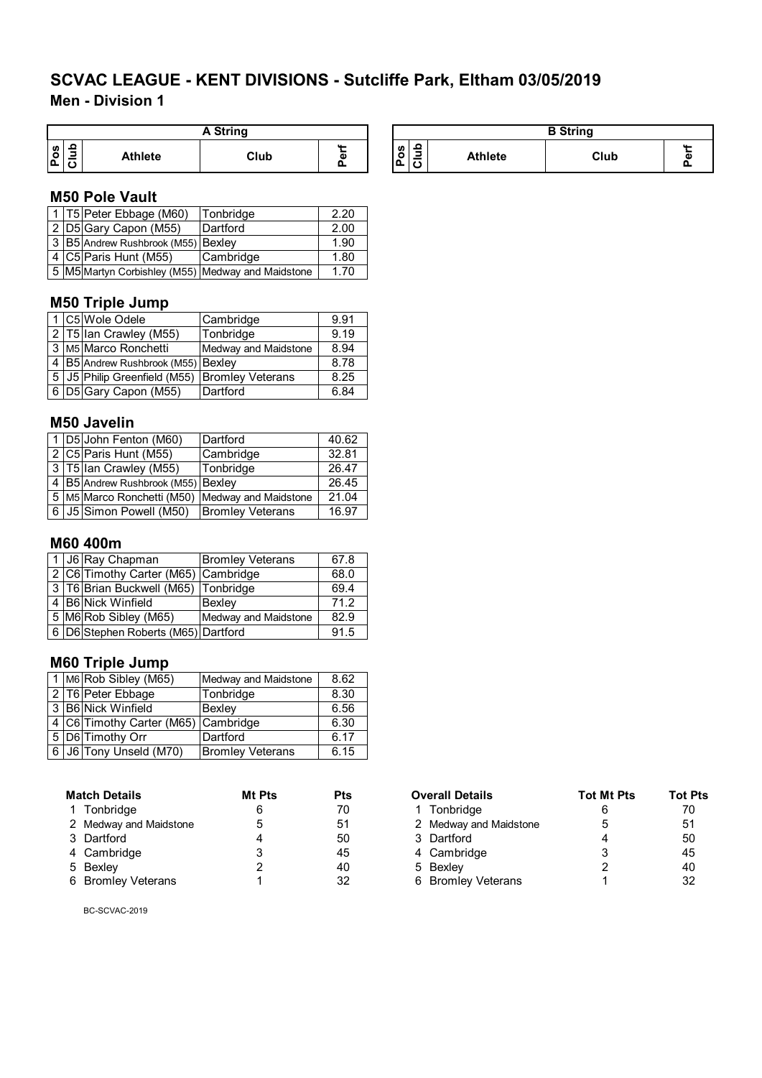**Men - Division 1**

|        |        |                | A String |              |
|--------|--------|----------------|----------|--------------|
| ဖ<br>0 | 음<br>⊇ | <b>Athlete</b> | Club     | ш.<br>ω<br>Ω |

#### **M50 Pole Vault**

|  | 1 T5 Peter Ebbage (M60)                           | Tonbridge | 2.20 |
|--|---------------------------------------------------|-----------|------|
|  | 2 D5 Gary Capon (M55)                             | Dartford  | 2.00 |
|  | 3 B5 Andrew Rushbrook (M55) Bexley                |           | 1.90 |
|  | 4 C5 Paris Hunt (M55)                             | Cambridge | 1.80 |
|  | 5 M5 Martyn Corbishley (M55) Medway and Maidstone |           | 1.70 |

## **M50 Triple Jump**

|  | 1 C5 Wole Odele                                | Cambridge            | 9.91 |
|--|------------------------------------------------|----------------------|------|
|  | 2 T5 Ian Crawley (M55)                         | Tonbridge            | 9.19 |
|  | 3 M5 Marco Ronchetti                           | Medway and Maidstone | 8.94 |
|  | 4 B5 Andrew Rushbrook (M55) Bexley             |                      | 8.78 |
|  | 5 JJ5 Philip Greenfield (M55) Bromley Veterans |                      | 8.25 |
|  | 6 D5 Gary Capon (M55)                          | Dartford             | 6.84 |

#### **M50 Javelin**

|  | 1 D5 John Fenton (M60)                          | Dartford                | 40.62 |
|--|-------------------------------------------------|-------------------------|-------|
|  | 2 C5 Paris Hunt (M55)                           | Cambridge               | 32.81 |
|  | 3   T5   Ian Crawley (M55)                      | Tonbridge               | 26.47 |
|  | 4 B5 Andrew Rushbrook (M55) Bexley              |                         | 26.45 |
|  | 5 M5 Marco Ronchetti (M50) Medway and Maidstone |                         | 21.04 |
|  | 6   J5 Simon Powell (M50)                       | <b>Bromley Veterans</b> | 16.97 |

## **M60 400m**

|  | 1 J6 Ray Chapman                          | <b>Bromley Veterans</b> | 67.8 |
|--|-------------------------------------------|-------------------------|------|
|  | 2 C6 Timothy Carter (M65) Cambridge       |                         | 68.0 |
|  | 3   T6   Brian Buckwell (M65)   Tonbridge |                         | 69.4 |
|  | 4 B6 Nick Winfield                        | <b>Bexlev</b>           | 71.2 |
|  | 5 M6 Rob Sibley (M65)                     | Medway and Maidstone    | 82.9 |
|  | 6 D6 Stephen Roberts (M65) Dartford       |                         | 91.5 |

## **M60 Triple Jump**

|  | 1 M6 Rob Sibley (M65)               | Medway and Maidstone    | 8.62 |
|--|-------------------------------------|-------------------------|------|
|  | 2 T6 Peter Ebbage                   | Tonbridge               | 8.30 |
|  | 3 B6 Nick Winfield                  | <b>Bexlev</b>           | 6.56 |
|  | 4 C6 Timothy Carter (M65) Cambridge |                         | 6.30 |
|  | 5 D6 Timothy Orr                    | Dartford                | 6.17 |
|  | 6 J6 Tony Unseld (M70)              | <b>Bromley Veterans</b> | 6.15 |

| <b>Match Details</b> |                        | <b>Mt Pts</b> | Pts | <b>Overall Details</b> | <b>Tot Mt Pts</b> | Tot Pts |
|----------------------|------------------------|---------------|-----|------------------------|-------------------|---------|
|                      | Tonbridge              |               | 70  | 1 Tonbridge            |                   | 70      |
|                      | 2 Medway and Maidstone | 5             | 51  | 2 Medway and Maidstone |                   | 51      |
|                      | 3 Dartford             |               | 50  | 3 Dartford             |                   | 50      |
|                      | 4 Cambridge            |               | 45  | 4 Cambridge            |                   | 45      |
|                      | 5 Bexley               |               | 40  | 5 Bexley               |                   | 40      |
|                      | 6 Bromley Veterans     |               | 32  | 6 Bromley Veterans     |                   | 32      |

BC-SCVAC-2019

| A String |                  |                      |                           | <b>B</b> String |      |  |
|----------|------------------|----------------------|---------------------------|-----------------|------|--|
| Club     | $\sim$<br>ត<br>ட | <b>S</b><br>o<br>۱Δ. | ≏<br>$\sim$<br>$\epsilon$ | <b>Athlete</b>  | Club |  |

| <b>Match Details</b>   | Mt Pts | Pts | <b>Overall Details</b> | <b>Tot Mt Pts</b> | <b>Tot Pts</b> |
|------------------------|--------|-----|------------------------|-------------------|----------------|
| 1 Tonbridge            |        | 70  | Tonbridge              |                   | 70             |
| 2 Medway and Maidstone |        | 51  | 2 Medway and Maidstone |                   | 51             |
| 3 Dartford             |        | 50  | 3 Dartford             |                   | 50             |
| 4 Cambridge            |        | 45  | 4 Cambridge            |                   | 45             |
| 5 Bexley               |        | 40  | 5 Bexley               |                   | 40             |
| 6 Bromley Veterans     |        | 32  | 6 Bromley Veterans     |                   | 32             |
|                        |        |     |                        |                   |                |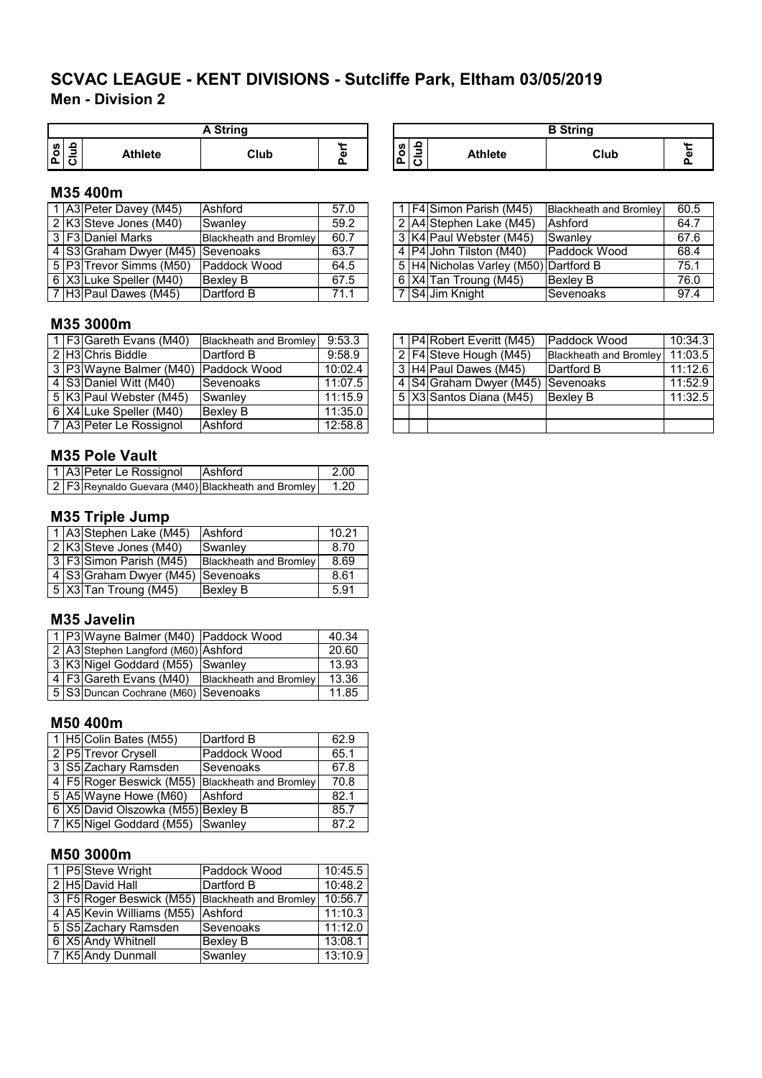## **Men - Division 2 SCVAC LEAGUE - KENT DIVISIONS - Sutcliffe Park, Eltham 03/05/2019**

|        | <b>A</b> String |                |      |        |  |  |  |  |  |
|--------|-----------------|----------------|------|--------|--|--|--|--|--|
| S<br>് |                 | <b>Athlete</b> | Club | Ф<br>Ω |  |  |  |  |  |

## **M35 400m**

|  | 1 A3 Peter Davey (M45)                | Ashford                       | 57.0 |  | 1   F4 Simon Parish (M45)             | <b>Blackheath and Bromley</b> | 60.5 |
|--|---------------------------------------|-------------------------------|------|--|---------------------------------------|-------------------------------|------|
|  | 2 K3 Steve Jones (M40)                | Swanley                       | 59.2 |  | 2 A4 Stephen Lake (M45)               | Ashford                       | 64.7 |
|  | 3 F3 Daniel Marks                     | <b>Blackheath and Bromley</b> | 60.7 |  | 3 K4 Paul Webster (M45)               | Swanley                       | 67.6 |
|  | l 4 IS3IGraham Dwver (M45) ISevenoaks |                               | 63.7 |  | 4   P4   John Tilston (M40)           | Paddock Wood                  | 68.4 |
|  | 5 P3 Trevor Simms (M50)               | Paddock Wood                  | 64.5 |  | 5 H4 Nicholas Varley (M50) Dartford B |                               | 75.1 |
|  | 6 X3 Luke Speller (M40)               | Bexley B                      | 67.5 |  | $6$ X4 Tan Troung (M45)               | <b>Bexley B</b>               | 76.0 |
|  | 7 H3 Paul Dawes (M45)                 | Dartford B                    | 71.1 |  | 7 S4 Jim Knight                       | Sevenoaks                     | 97.4 |

| A String |   |                                                               |                | <b>B</b> String |  |
|----------|---|---------------------------------------------------------------|----------------|-----------------|--|
| Club     | α | ≏<br><b>S</b><br>-<br>ق<br>ت<br>$\overline{\phantom{a}}$<br>J | <b>Athlete</b> | Club            |  |

|  | 1   F4 Simon Parish (M45)             | <b>Blackheath and Bromley</b> | 60.5 |
|--|---------------------------------------|-------------------------------|------|
|  | 2 A4 Stephen Lake (M45)               | Ashford                       | 64.7 |
|  | 3 K4 Paul Webster (M45)               | Swanley                       | 67.6 |
|  | 4 P4 John Tilston (M40)               | Paddock Wood                  | 68.4 |
|  | 5 H4 Nicholas Varley (M50) Dartford B |                               | 75.1 |
|  | $ 6 X4 $ Tan Troung (M45)             | Bexley B                      | 76.0 |
|  | 7 S4 Jim Knight                       | Sevenoaks                     | 97.4 |

## **M35 3000m**

|  | $1$ F3 Gareth Evans (M40)            | Blackheath and Bromley 9:53.3 |         |  | 1 P4 Robert Everitt (M45)         | Paddock Wood                  | 10:34.3 |
|--|--------------------------------------|-------------------------------|---------|--|-----------------------------------|-------------------------------|---------|
|  | 2 H3 Chris Biddle                    | Dartford B                    | 9:58.9  |  | 2   F4 Steve Hough (M45)          | <b>Blackheath and Bromley</b> | 11:03.5 |
|  | 3 P3 Wayne Balmer (M40) Paddock Wood |                               | 10:02.4 |  | 3 H4 Paul Dawes (M45)             | Dartford B                    | 11:12.6 |
|  | 4 S3 Daniel Witt (M40)               | Sevenoaks                     | 11:07.5 |  | 4 S4 Graham Dwyer (M45) Sevenoaks |                               | 11:52.9 |
|  | 5 K3 Paul Webster (M45)              | Swanley                       | 11:15.9 |  | 5 X3 Santos Diana (M45)           | Bexley B                      | 11:32.5 |
|  | 6 X4 Luke Speller (M40)              | <b>Bexley B</b>               | 11:35.0 |  |                                   |                               |         |
|  | 7 A3 Peter Le Rossignol              | Ashford                       | 12:58.8 |  |                                   |                               |         |

## **M35 Pole Vault**

|  | 1 A3 Peter Le Rossignol | Ashford                                            | -2.00   |
|--|-------------------------|----------------------------------------------------|---------|
|  |                         | 2 F3 Reynaldo Guevara (M40) Blackheath and Bromley | $-1.20$ |

## **M35 Triple Jump**

|  | 1 A3 Stephen Lake (M45)           | Ashford                       | 10.21 |
|--|-----------------------------------|-------------------------------|-------|
|  | 2 K3 Steve Jones (M40)            | Swanley                       | 8.70  |
|  | 3 F3 Simon Parish (M45)           | <b>Blackheath and Bromley</b> | 8.69  |
|  | 4 S3 Graham Dwyer (M45) Sevenoaks |                               | 8.61  |
|  | $\sqrt{5 X3 }$ Tan Troung (M45)   | <b>Bexley B</b>               | 5.91  |

#### **M35 Javelin**

|  | 1 P3 Wayne Balmer (M40) Paddock Wood |                               | 40.34 |
|--|--------------------------------------|-------------------------------|-------|
|  | 2 A3 Stephen Langford (M60) Ashford  |                               | 20.60 |
|  | 3 K3 Nigel Goddard (M55) Swanley     |                               | 13.93 |
|  | 4 F3 Gareth Evans (M40)              | <b>Blackheath and Bromley</b> | 13.36 |
|  | 5 S3 Duncan Cochrane (M60) Sevenoaks |                               | 11.85 |

#### **M50 400m**

|  | 1 H5 Colin Bates (M55)             | Dartford B                                      | 62.9 |
|--|------------------------------------|-------------------------------------------------|------|
|  | 2 P5 Trevor Crysell                | Paddock Wood                                    | 65.1 |
|  | 3 S5 Zachary Ramsden               | Sevenoaks                                       | 67.8 |
|  |                                    | 4 F5 Roger Beswick (M55) Blackheath and Bromley | 70.8 |
|  | 5 A5 Wayne Howe (M60)              | Ashford                                         | 82.1 |
|  | 6 X5 David Olszowka (M55) Bexley B |                                                 | 85.7 |
|  | 7 K5 Nigel Goddard (M55) Swanley   |                                                 | 87.2 |

## **M50 3000m**

|  | 1 P5 Steve Wright         | Paddock Wood                                          | 10:45.5 |
|--|---------------------------|-------------------------------------------------------|---------|
|  | 2 H5 David Hall           | Dartford B                                            | 10:48.2 |
|  |                           | 3   F5   Roger Beswick (M55)   Blackheath and Bromley | 10:56.7 |
|  | 4 A5 Kevin Williams (M55) | Ashford                                               | 11:10.3 |
|  | 5 S5 Zachary Ramsden      | Sevenoaks                                             | 11:12.0 |
|  | 6 X5 Andy Whitnell        | <b>Bexley B</b>                                       | 13:08.1 |
|  | 7 K5 Andy Dunmall         | Swanley                                               | 13:10.9 |

|  | 1   P4   Robert Everitt (M45) | Paddock Wood                  | 10:34.3 |
|--|-------------------------------|-------------------------------|---------|
|  | 2 F4 Steve Hough (M45)        | <b>Blackheath and Bromley</b> | 11:03.5 |
|  | 3 H4 Paul Dawes (M45)         | Dartford B                    | 11:12.6 |
|  | 4 S4 Graham Dwyer (M45)       | <b>Sevenoaks</b>              | 11:52.9 |
|  | 5   X3   Santos Diana (M45)   | <b>Bexley B</b>               | 11:32.5 |
|  |                               |                               |         |
|  |                               |                               |         |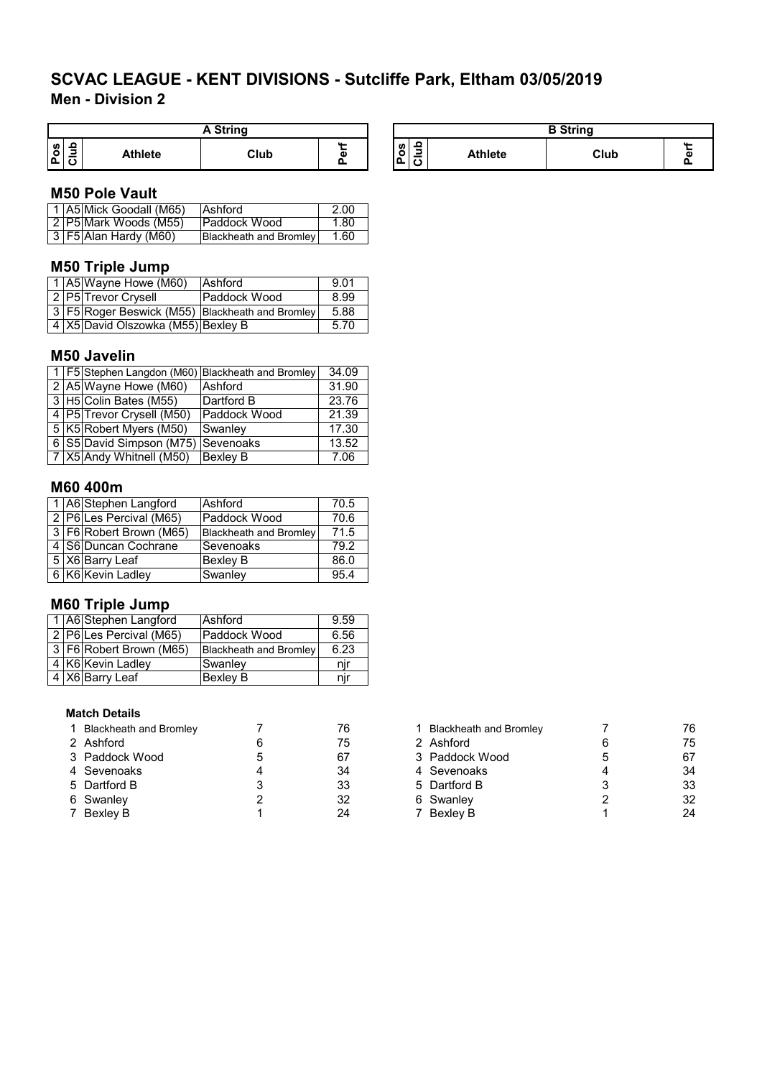**Men - Division 2**

| String                                                          |                |      |             |          |                                                         | $C$ frinn |
|-----------------------------------------------------------------|----------------|------|-------------|----------|---------------------------------------------------------|-----------|
| ء<br>w<br>$\overline{\phantom{a}}$<br>؎<br>-<br><u>ا م</u><br>ັ | <b>Athlete</b> | Club | $\sim$<br>m | °°<br>۱ã | c<br>Athlete<br>۰<br>-<br>$\overline{\phantom{a}}$<br>◡ | Club      |

## **M50 Pole Vault**

|  | 1 A5 Mick Goodall (M65)  | <b>Ashford</b>                | 2.00 |
|--|--------------------------|-------------------------------|------|
|  | 2   P5  Mark Woods (M55) | Paddock Wood                  | 1.80 |
|  | $3$ F5 Alan Hardy (M60)  | <b>Blackheath and Bromley</b> | 1.60 |

## **M50 Triple Jump**

|  | 1   A5   Wayne Howe (M60)          | Ashford                                               | 9.01 |
|--|------------------------------------|-------------------------------------------------------|------|
|  | 2 P5 Trevor Crysell                | Paddock Wood                                          | 8.99 |
|  |                                    | 3   F5   Roger Beswick (M55)   Blackheath and Bromley | 5.88 |
|  | 4 X5 David Olszowka (M55) Bexley B |                                                       | 5.70 |

## **M50 Javelin**

|  |                                    | 1   F5 Stephen Langdon (M60) Blackheath and Bromley | 34.09 |
|--|------------------------------------|-----------------------------------------------------|-------|
|  | 2 A5 Wayne Howe (M60)              | Ashford                                             | 31.90 |
|  | 3 H5 Colin Bates (M55)             | Dartford B                                          | 23.76 |
|  | 4   P5   Trevor Crysell (M50)      | Paddock Wood                                        | 21.39 |
|  | 5 K5 Robert Myers (M50)            | Swanley                                             | 17.30 |
|  | 6 S5 David Simpson (M75) Sevenoaks |                                                     | 13.52 |
|  | 7 X5 Andy Whitnell (M50)           | <b>Bexley B</b>                                     | 7.06  |

## **M60 400m**

|  | 1 A6 Stephen Langford   | Ashford                       | 70.5 |
|--|-------------------------|-------------------------------|------|
|  | 2 P6 Les Percival (M65) | Paddock Wood                  | 70.6 |
|  | 3 F6 Robert Brown (M65) | <b>Blackheath and Bromley</b> | 71.5 |
|  | 4 S6 Duncan Cochrane    | Sevenoaks                     | 79.2 |
|  | 5 X6 Barry Leaf         | <b>Bexley B</b>               | 86.0 |
|  | 6 K6 Kevin Ladley       | Swanley                       | 95.4 |

## **M60 Triple Jump**

|  | 1   A6   Stephen Langford | <b>Ashford</b>                | 9.59 |
|--|---------------------------|-------------------------------|------|
|  | 2 P6 Les Percival (M65)   | Paddock Wood                  | 6.56 |
|  | 3 F6 Robert Brown (M65)   | <b>Blackheath and Bromley</b> | 6.23 |
|  | 4 K6 Kevin Ladley         | Swanlev                       | nır  |
|  | 4 X6 Barry Leaf           | <b>Bexley B</b>               | nii  |

## **Match Details**

| 1 Blackheath and Bromley | 76 | <b>Blackheath and Bromley</b> | 76 |
|--------------------------|----|-------------------------------|----|
| 2 Ashford                | 75 | 2 Ashford                     | 75 |
| 3 Paddock Wood           | 67 | 3 Paddock Wood                | 67 |
| 4 Sevenoaks              | 34 | 4 Sevenoaks                   | 34 |
| 5 Dartford B             | 33 | 5 Dartford B                  | 33 |
| 6 Swanley                | 32 | 6 Swanley                     | 32 |
| 7 Bexley B               | 24 | 7 Bexley B                    | 24 |

| 1 Blackheath and Bromley |   | 76 |
|--------------------------|---|----|
| 2 Ashford                | 6 | 75 |
| 3 Paddock Wood           | 5 | 67 |
| 4 Sevenoaks              |   | 34 |
| 5 Dartford B             | 3 | 33 |
| 6 Swanley                | 2 | 32 |
| 7 Bexley B               | 1 | 24 |

**Perf**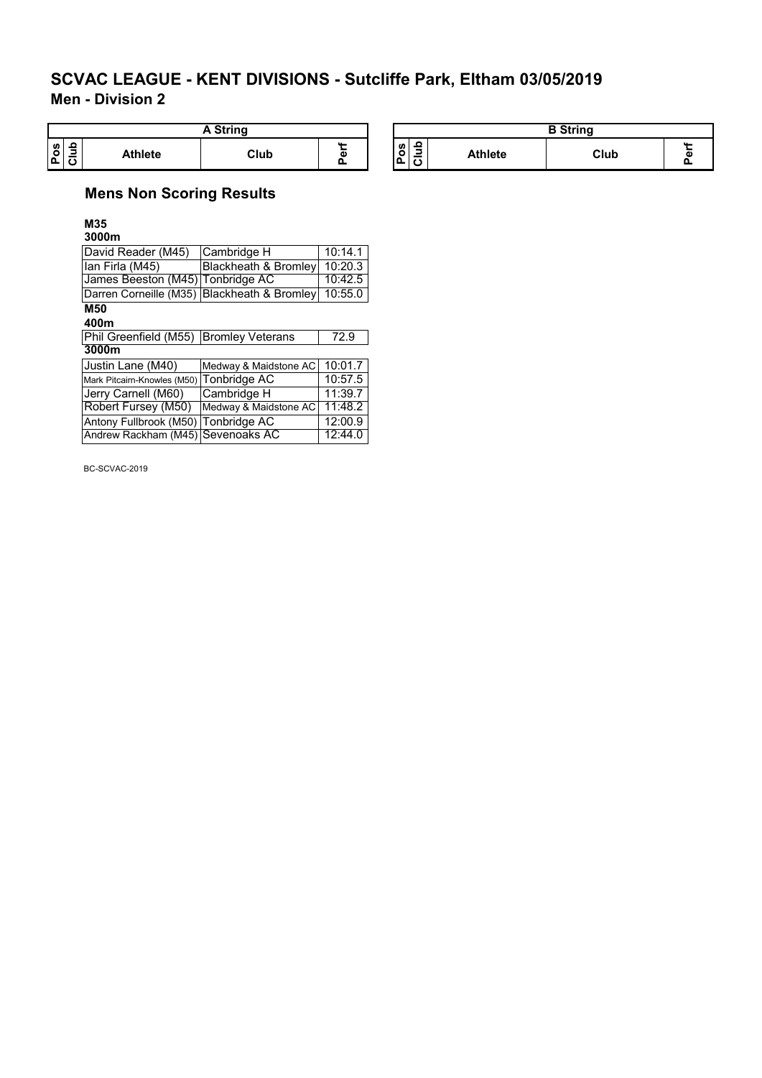**Men - Division 2**

| <b>String</b>        |                |      |          |                                                                |         | P String |        |
|----------------------|----------------|------|----------|----------------------------------------------------------------|---------|----------|--------|
| $\frac{1}{2}$<br>। ਹ | <b>Athlete</b> | Club | $\cdots$ | л.<br><b>S</b><br>$\overline{\phantom{a}}$<br>О<br>ᅠ 1 요<br>10 | Athlete | Club     | $\sim$ |

## **Mens Non Scoring Results**

**M35 3000m**

| David Reader (M45)                  | Cambridge H                                 | 10:14.1 |
|-------------------------------------|---------------------------------------------|---------|
| lan Firla (M45)                     | <b>Blackheath &amp; Bromley</b>             | 10:20.3 |
| James Beeston (M45) Tonbridge AC    |                                             | 10:42.5 |
|                                     | Darren Corneille (M35) Blackheath & Bromley | 10:55.0 |
| M50                                 |                                             |         |
| 400m                                |                                             |         |
| Phil Greenfield (M55)               | <b>Bromley Veterans</b>                     | 72.9    |
| 3000m                               |                                             |         |
| Justin Lane (M40)                   | Medway & Maidstone AC                       | 10:01.7 |
| Mark Pitcairn-Knowles (M50)         | Tonbridge AC                                | 10:57.5 |
| Jerry Carnell (M60)                 | Cambridge H                                 | 11:39.7 |
| Robert Fursey (M50)                 | Medway & Maidstone AC                       | 11:48.2 |
| Antony Fullbrook (M50) Tonbridge AC |                                             | 12:00.9 |
| Andrew Rackham (M45) Sevenoaks AC   |                                             | 12:44.0 |

BC-SCVAC-2019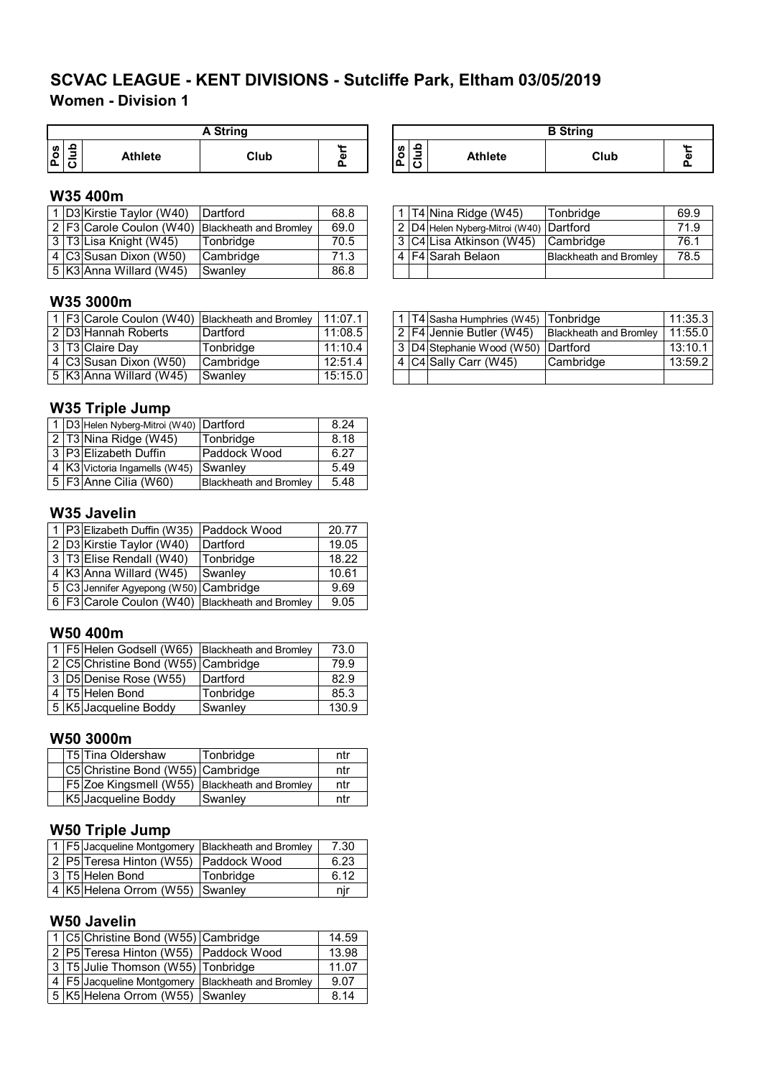## **Women - Division 1 SCVAC LEAGUE - KENT DIVISIONS - Sutcliffe Park, Eltham 03/05/2019**

|        |   |                | <b>A</b> String |        |
|--------|---|----------------|-----------------|--------|
| Ø<br>൦ | ≘ | <b>Athlete</b> | Club            | ω<br>Ω |

## **W35 400m**

|  | 1 D3 Kirstie Taylor (W40)  | <b>IDartford</b>                                | 68.8 |  | 1 T4 Nina Ridge (W45)                   | Tonbridge                     | 69.9 |
|--|----------------------------|-------------------------------------------------|------|--|-----------------------------------------|-------------------------------|------|
|  |                            | 2 F3 Carole Coulon (W40) Blackheath and Bromley | 69.0 |  | 2 D4 Helen Nyberg-Mitroi (W40) Dartford |                               | 71.9 |
|  | 3  T3 Lisa Knight (W45)    | Tonbridae                                       | 70.5 |  | 3  C4 Lisa Atkinson (W45)               | <b>Cambridge</b>              | 76.1 |
|  | l 4 IC3ISusan Dixon (W50). | <b>Cambridge</b>                                | 71.3 |  | 4 F4 Sarah Belaon                       | <b>Blackheath and Bromley</b> | 78.5 |
|  | 5  K3 Anna Willard (W45)   | <b>Swanley</b>                                  | 86.8 |  |                                         |                               |      |

## **W35 3000m**

|  |                          | 1 F3 Carole Coulon (W40) Blackheath and Bromley | 11:07.1 |  | . 1 T4 Sasha Humphries (W45) Tonbridge                |           | 11:35.3 |
|--|--------------------------|-------------------------------------------------|---------|--|-------------------------------------------------------|-----------|---------|
|  | 2 D3 Hannah Roberts      | Dartford                                        | 11:08.5 |  | 2   F4   Jennie Butler (W45)   Blackheath and Bromley |           | 11:55.0 |
|  | 3 T3 Claire Day          | Tonbridae                                       | 11:10.4 |  | 3 D4 Stephanie Wood (W50) Dartford                    |           | 13:10.1 |
|  | 4  C3 Susan Dixon (W50)  | Cambridge                                       | 12:51.4 |  | 4 C4 Sally Carr (W45)                                 | Cambridge | 13:59.2 |
|  | 5  K3 Anna Willard (W45) | Swanlev                                         | 15:15.0 |  |                                                       |           |         |

#### **W35 Triple Jump**

|  | 1 D3 Helen Nyberg-Mitroi (W40) Dartford |                               | 8.24 |  |  |  |
|--|-----------------------------------------|-------------------------------|------|--|--|--|
|  | 2 T3 Nina Ridge (W45)                   | Tonbridge                     | 8.18 |  |  |  |
|  | 3 P3 Elizabeth Duffin                   | Paddock Wood                  | 6.27 |  |  |  |
|  | 4 K3 Victoria Ingamells (W45)           | Swanley                       | 5.49 |  |  |  |
|  | $\sqrt{5}$ F3 Anne Cilia (W60)          | <b>Blackheath and Bromley</b> | 5.48 |  |  |  |

## **W35 Javelin**

|  | 1 P3 Elizabeth Duffin (W35)                         | <b>Paddock Wood</b> | 20.77 |
|--|-----------------------------------------------------|---------------------|-------|
|  | 2 D3 Kirstie Taylor (W40)                           | Dartford            | 19.05 |
|  | 3 T3 Elise Rendall (W40)                            | Tonbridge           | 18.22 |
|  | 4 K3 Anna Willard (W45)                             | Swanley             | 10.61 |
|  | 5 C3 Jennifer Agyepong (W50) Cambridge              |                     | 9.69  |
|  | 6   F3 Carole Coulon (W40)   Blackheath and Bromley |                     | 9.05  |

## **W50 400m**

|  | 1   F5   Helen Godsell (W65)   Blackheath and Bromley |           | 73.0  |
|--|-------------------------------------------------------|-----------|-------|
|  | 2 C5 Christine Bond (W55) Cambridge                   |           | 79.9  |
|  | 3 D5 Denise Rose (W55)                                | Dartford  | 82.9  |
|  | $\sqrt{4 T5 }$ Helen Bond                             | Tonbridge | 85.3  |
|  | 5 K5 Jacqueline Boddy                                 | Swanley   | 130.9 |

## **W50 3000m**

|  | T5 Tina Oldershaw                             | Tonbridge | ntr |
|--|-----------------------------------------------|-----------|-----|
|  | C5 Christine Bond (W55) Cambridge             |           | ntr |
|  | F5 Zoe Kingsmell (W55) Blackheath and Bromley |           | ntr |
|  | K5 Jacqueline Boddy                           | Swanley   | ntr |

## **W50 Triple Jump**

|  | 1   F5 Jacqueline Montgomery  Blackheath and Bromley |           | 7.30 |
|--|------------------------------------------------------|-----------|------|
|  | 2 P5 Teresa Hinton (W55) Paddock Wood                |           | 6.23 |
|  | 3   T5   Helen Bond                                  | Tonbridge | 6.12 |
|  | 4 K5 Helena Orrom (W55) Swanley                      |           | nır  |

#### **W50 Javelin**

|  | 1 C5 Christine Bond (W55) Cambridge                   | 14.59 |
|--|-------------------------------------------------------|-------|
|  | 2 P5 Teresa Hinton (W55) Paddock Wood                 | 13.98 |
|  | 3 T5 Julie Thomson (W55) Tonbridge                    | 11.07 |
|  | 4   F5 Jacqueline Montgomery   Blackheath and Bromley | 9.07  |
|  | 5 K5 Helena Orrom (W55) Swanley                       | 8.14  |

| <b>A String</b> |    | <b>B</b> String                         |                |      |             |  |
|-----------------|----|-----------------------------------------|----------------|------|-------------|--|
| Club            | a. | ≏<br><b>S</b><br>-<br>o<br>-<br>o<br>c١ | <b>Athlete</b> | Club | $\sim$<br>C |  |

|  | $\sqrt{1 T4 }$ Nina Ridge (W45)         | Tonbridge                     | 69.9 |
|--|-----------------------------------------|-------------------------------|------|
|  | 2 D4 Helen Nyberg-Mitroi (W40) Dartford |                               | 71.9 |
|  | 3 C4 Lisa Atkinson (W45) Cambridge      |                               | 76.1 |
|  | l 4 F4 Sarah Belaon                     | <b>Blackheath and Bromley</b> | 78.5 |
|  |                                         |                               |      |

|  | 1   T4 Sasha Humphries (W45)   Tonbridge |                               | 11:35.3 |
|--|------------------------------------------|-------------------------------|---------|
|  | 2 F4 Jennie Butler (W45)                 | <b>Blackheath and Bromley</b> | 11:55.0 |
|  | 3 D4 Stephanie Wood (W50) Dartford       |                               | 13:10.1 |
|  | 4 C4 Sally Carr (W45)                    | Cambridge                     | 13:59.2 |
|  |                                          |                               |         |